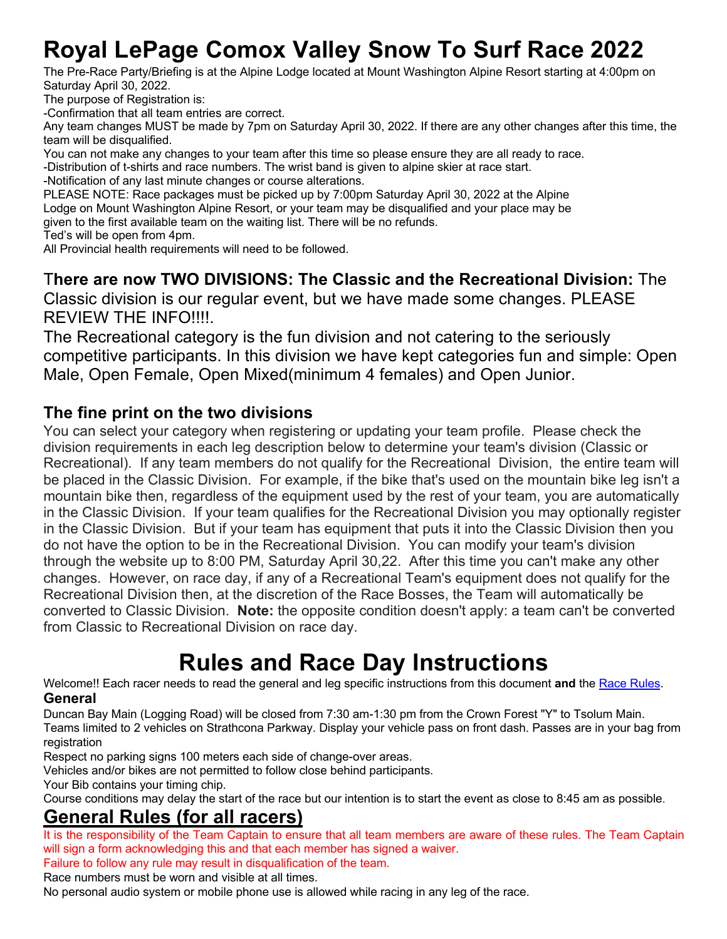# **Royal LePage Comox Valley Snow To Surf Race 2022**

The Pre-Race Party/Briefing is at the Alpine Lodge located at Mount Washington Alpine Resort starting at 4:00pm on Saturday April 30, 2022.

The purpose of Registration is:

-Confirmation that all team entries are correct.

Any team changes MUST be made by 7pm on Saturday April 30, 2022. If there are any other changes after this time, the team will be disqualified.

You can not make any changes to your team after this time so please ensure they are all ready to race.

-Distribution of t-shirts and race numbers. The wrist band is given to alpine skier at race start.

-Notification of any last minute changes or course alterations.

PLEASE NOTE: Race packages must be picked up by 7:00pm Saturday April 30, 2022 at the Alpine Lodge on Mount Washington Alpine Resort, or your team may be disqualified and your place may be given to the first available team on the waiting list. There will be no refunds. Ted's will be open from 4pm.

All Provincial health requirements will need to be followed.

T**here are now TWO DIVISIONS: The Classic and the Recreational Division:** The Classic division is our regular event, but we have made some changes. PLEASE REVIEW THE INFO!!!!.

The Recreational category is the fun division and not catering to the seriously competitive participants. In this division we have kept categories fun and simple: Open Male, Open Female, Open Mixed(minimum 4 females) and Open Junior.

# **The fine print on the two divisions**

You can select your category when registering or updating your team profile. Please check the division requirements in each leg description below to determine your team's division (Classic or Recreational). If any team members do not qualify for the Recreational Division, the entire team will be placed in the Classic Division. For example, if the bike that's used on the mountain bike leg isn't a mountain bike then, regardless of the equipment used by the rest of your team, you are automatically in the Classic Division. If your team qualifies for the Recreational Division you may optionally register in the Classic Division. But if your team has equipment that puts it into the Classic Division then you do not have the option to be in the Recreational Division. You can modify your team's division through the website up to 8:00 PM, Saturday April 30,22. After this time you can't make any other changes. However, on race day, if any of a Recreational Team's equipment does not qualify for the Recreational Division then, at the discretion of the Race Bosses, the Team will automatically be converted to Classic Division. **Note:** the opposite condition doesn't apply: a team can't be converted from Classic to Recreational Division on race day.

# **Rules and Race Day Instructions**

Welcome!! Each racer needs to read the general and leg specific instructions from this document **and** the Race Rules. **General**

Duncan Bay Main (Logging Road) will be closed from 7:30 am-1:30 pm from the Crown Forest "Y" to Tsolum Main. Teams limited to 2 vehicles on Strathcona Parkway. Display your vehicle pass on front dash. Passes are in your bag from registration

Respect no parking signs 100 meters each side of change-over areas.

Vehicles and/or bikes are not permitted to follow close behind participants.

Your Bib contains your timing chip.

Course conditions may delay the start of the race but our intention is to start the event as close to 8:45 am as possible.

# **General Rules (for all racers)**

It is the responsibility of the Team Captain to ensure that all team members are aware of these rules. The Team Captain will sign a form acknowledging this and that each member has signed a waiver.

Failure to follow any rule may result in disqualification of the team.

Race numbers must be worn and visible at all times.

No personal audio system or mobile phone use is allowed while racing in any leg of the race.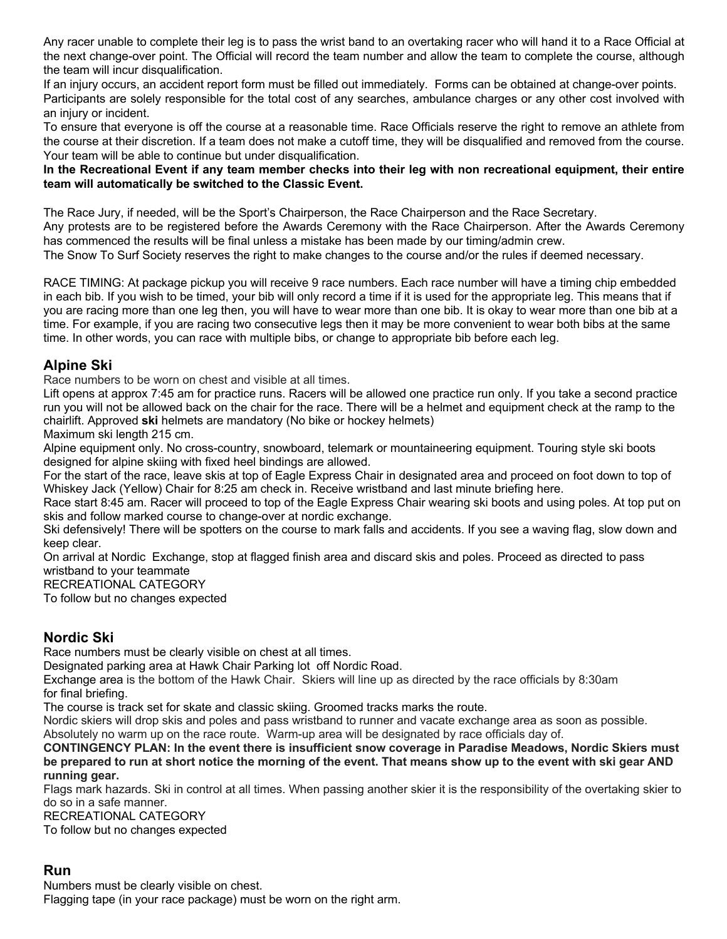Any racer unable to complete their leg is to pass the wrist band to an overtaking racer who will hand it to a Race Official at the next change-over point. The Official will record the team number and allow the team to complete the course, although the team will incur disqualification.

If an injury occurs, an accident report form must be filled out immediately. Forms can be obtained at change-over points. Participants are solely responsible for the total cost of any searches, ambulance charges or any other cost involved with an injury or incident.

To ensure that everyone is off the course at a reasonable time. Race Officials reserve the right to remove an athlete from the course at their discretion. If a team does not make a cutoff time, they will be disqualified and removed from the course. Your team will be able to continue but under disqualification.

#### **In the Recreational Event if any team member checks into their leg with non recreational equipment, their entire team will automatically be switched to the Classic Event.**

The Race Jury, if needed, will be the Sport's Chairperson, the Race Chairperson and the Race Secretary. Any protests are to be registered before the Awards Ceremony with the Race Chairperson. After the Awards Ceremony has commenced the results will be final unless a mistake has been made by our timing/admin crew. The Snow To Surf Society reserves the right to make changes to the course and/or the rules if deemed necessary.

RACE TIMING: At package pickup you will receive 9 race numbers. Each race number will have a timing chip embedded in each bib. If you wish to be timed, your bib will only record a time if it is used for the appropriate leg. This means that if you are racing more than one leg then, you will have to wear more than one bib. It is okay to wear more than one bib at a time. For example, if you are racing two consecutive legs then it may be more convenient to wear both bibs at the same time. In other words, you can race with multiple bibs, or change to appropriate bib before each leg.

## **Alpine Ski**

Race numbers to be worn on chest and visible at all times.

Lift opens at approx 7:45 am for practice runs. Racers will be allowed one practice run only. If you take a second practice run you will not be allowed back on the chair for the race. There will be a helmet and equipment check at the ramp to the chairlift. Approved **ski** helmets are mandatory (No bike or hockey helmets)

Maximum ski length 215 cm.

Alpine equipment only. No cross-country, snowboard, telemark or mountaineering equipment. Touring style ski boots designed for alpine skiing with fixed heel bindings are allowed.

For the start of the race, leave skis at top of Eagle Express Chair in designated area and proceed on foot down to top of Whiskey Jack (Yellow) Chair for 8:25 am check in. Receive wristband and last minute briefing here.

Race start 8:45 am. Racer will proceed to top of the Eagle Express Chair wearing ski boots and using poles. At top put on skis and follow marked course to change-over at nordic exchange.

Ski defensively! There will be spotters on the course to mark falls and accidents. If you see a waving flag, slow down and keep clear.

On arrival at Nordic Exchange, stop at flagged finish area and discard skis and poles. Proceed as directed to pass wristband to your teammate

RECREATIONAL CATEGORY

To follow but no changes expected

## **Nordic Ski**

Race numbers must be clearly visible on chest at all times.

Designated parking area at Hawk Chair Parking lot off Nordic Road.

Exchange area is the bottom of the Hawk Chair. Skiers will line up as directed by the race officials by 8:30am for final briefing.

The course is track set for skate and classic skiing. Groomed tracks marks the route.

Nordic skiers will drop skis and poles and pass wristband to runner and vacate exchange area as soon as possible. Absolutely no warm up on the race route. Warm-up area will be designated by race officials day of.

#### **CONTINGENCY PLAN: In the event there is insufficient snow coverage in Paradise Meadows, Nordic Skiers must be prepared to run at short notice the morning of the event. That means show up to the event with ski gear AND running gear.**

Flags mark hazards. Ski in control at all times. When passing another skier it is the responsibility of the overtaking skier to do so in a safe manner.

RECREATIONAL CATEGORY

To follow but no changes expected

## **Run**

Numbers must be clearly visible on chest.

Flagging tape (in your race package) must be worn on the right arm.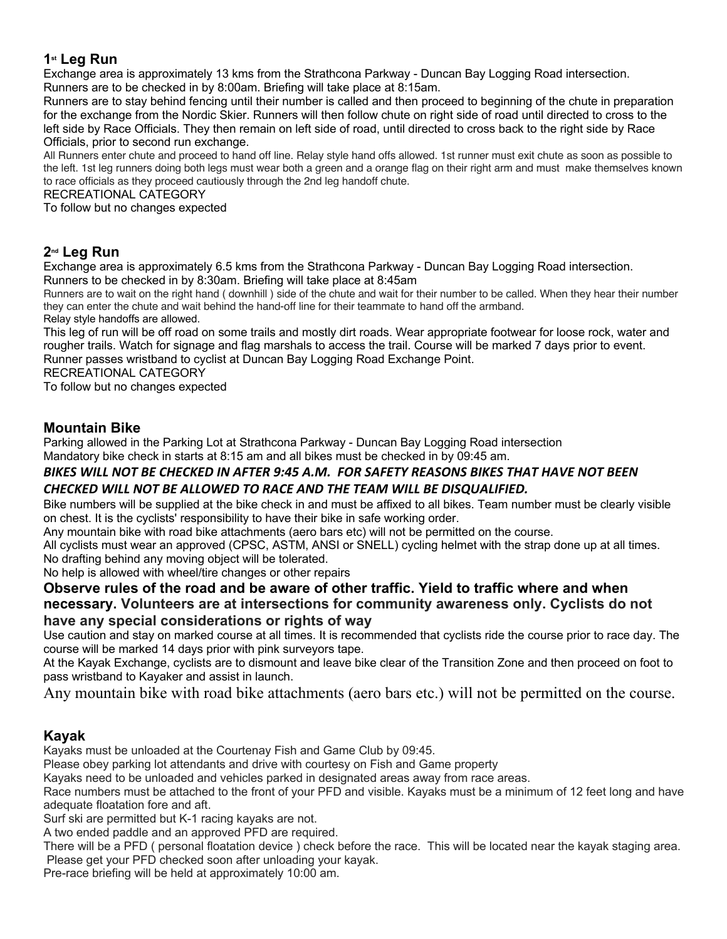## **1st Leg Run**

Exchange area is approximately 13 kms from the Strathcona Parkway - Duncan Bay Logging Road intersection. Runners are to be checked in by 8:00am. Briefing will take place at 8:15am.

Runners are to stay behind fencing until their number is called and then proceed to beginning of the chute in preparation for the exchange from the Nordic Skier. Runners will then follow chute on right side of road until directed to cross to the left side by Race Officials. They then remain on left side of road, until directed to cross back to the right side by Race Officials, prior to second run exchange.

All Runners enter chute and proceed to hand off line. Relay style hand offs allowed. 1st runner must exit chute as soon as possible to the left. 1st leg runners doing both legs must wear both a green and a orange flag on their right arm and must make themselves known to race officials as they proceed cautiously through the 2nd leg handoff chute.

#### RECREATIONAL CATEGORY

To follow but no changes expected

## **2nd Leg Run**

Exchange area is approximately 6.5 kms from the Strathcona Parkway - Duncan Bay Logging Road intersection. Runners to be checked in by 8:30am. Briefing will take place at 8:45am

Runners are to wait on the right hand ( downhill ) side of the chute and wait for their number to be called. When they hear their number they can enter the chute and wait behind the hand-off line for their teammate to hand off the armband. Relay style handoffs are allowed.

This leg of run will be off road on some trails and mostly dirt roads. Wear appropriate footwear for loose rock, water and rougher trails. Watch for signage and flag marshals to access the trail. Course will be marked 7 days prior to event. Runner passes wristband to cyclist at Duncan Bay Logging Road Exchange Point.

RECREATIONAL CATEGORY

To follow but no changes expected

### **Mountain Bike**

Parking allowed in the Parking Lot at Strathcona Parkway - Duncan Bay Logging Road intersection Mandatory bike check in starts at 8:15 am and all bikes must be checked in by 09:45 am.

#### *BIKES WILL NOT BE CHECKED IN AFTER 9:45 A.M. FOR SAFETY REASONS BIKES THAT HAVE NOT BEEN CHECKED WILL NOT BE ALLOWED TO RACE AND THE TEAM WILL BE DISQUALIFIED.*

Bike numbers will be supplied at the bike check in and must be affixed to all bikes. Team number must be clearly visible on chest. It is the cyclists' responsibility to have their bike in safe working order.

Any mountain bike with road bike attachments (aero bars etc) will not be permitted on the course.

All cyclists must wear an approved (CPSC, ASTM, ANSI or SNELL) cycling helmet with the strap done up at all times. No drafting behind any moving object will be tolerated.

No help is allowed with wheel/tire changes or other repairs

#### **Observe rules of the road and be aware of other traffic. Yield to traffic where and when necessary. Volunteers are at intersections for community awareness only. Cyclists do not have any special considerations or rights of way**

Use caution and stay on marked course at all times. It is recommended that cyclists ride the course prior to race day. The course will be marked 14 days prior with pink surveyors tape.

At the Kayak Exchange, cyclists are to dismount and leave bike clear of the Transition Zone and then proceed on foot to pass wristband to Kayaker and assist in launch.

Any mountain bike with road bike attachments (aero bars etc.) will not be permitted on the course.

## **Kayak**

Kayaks must be unloaded at the Courtenay Fish and Game Club by 09:45.

Please obey parking lot attendants and drive with courtesy on Fish and Game property

Kayaks need to be unloaded and vehicles parked in designated areas away from race areas.

Race numbers must be attached to the front of your PFD and visible. Kayaks must be a minimum of 12 feet long and have adequate floatation fore and aft.

Surf ski are permitted but K-1 racing kayaks are not.

A two ended paddle and an approved PFD are required.

There will be a PFD ( personal floatation device ) check before the race. This will be located near the kayak staging area. Please get your PFD checked soon after unloading your kayak.

Pre-race briefing will be held at approximately 10:00 am.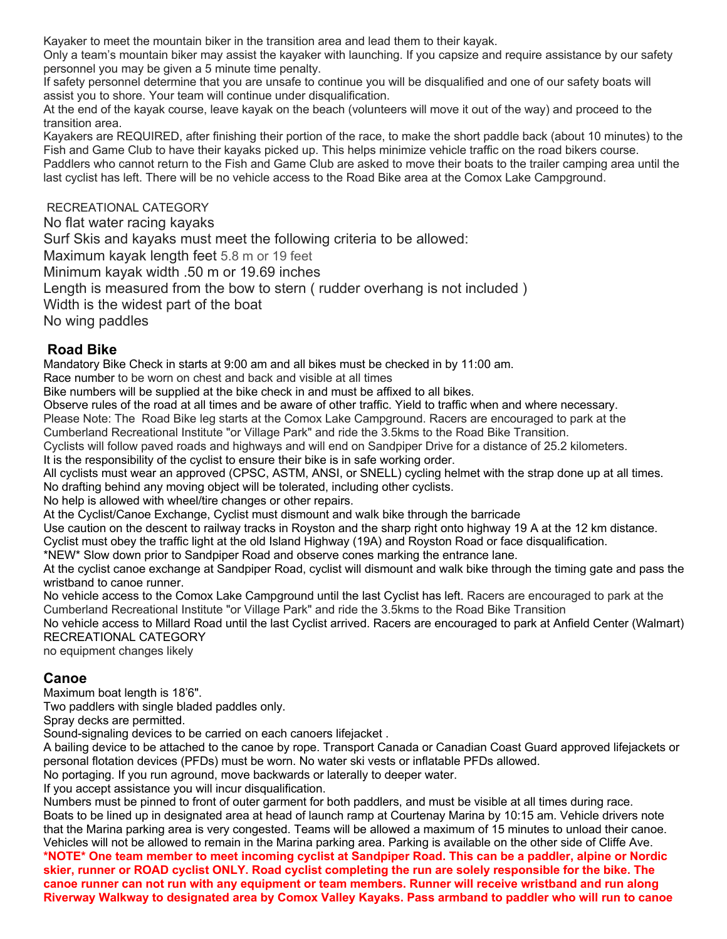Kayaker to meet the mountain biker in the transition area and lead them to their kayak.

Only a team's mountain biker may assist the kayaker with launching. If you capsize and require assistance by our safety personnel you may be given a 5 minute time penalty.

If safety personnel determine that you are unsafe to continue you will be disqualified and one of our safety boats will assist you to shore. Your team will continue under disqualification.

At the end of the kayak course, leave kayak on the beach (volunteers will move it out of the way) and proceed to the transition area.

Kayakers are REQUIRED, after finishing their portion of the race, to make the short paddle back (about 10 minutes) to the Fish and Game Club to have their kayaks picked up. This helps minimize vehicle traffic on the road bikers course. Paddlers who cannot return to the Fish and Game Club are asked to move their boats to the trailer camping area until the last cyclist has left. There will be no vehicle access to the Road Bike area at the Comox Lake Campground.

RECREATIONAL CATEGORY

No flat water racing kayaks

Surf Skis and kayaks must meet the following criteria to be allowed:

Maximum kayak length feet 5.8 m or 19 feet

Minimum kayak width .50 m or 19.69 inches

Length is measured from the bow to stern ( rudder overhang is not included )

Width is the widest part of the boat

No wing paddles

### **Road Bike**

Mandatory Bike Check in starts at 9:00 am and all bikes must be checked in by 11:00 am.

Race number to be worn on chest and back and visible at all times

Bike numbers will be supplied at the bike check in and must be affixed to all bikes.

Observe rules of the road at all times and be aware of other traffic. Yield to traffic when and where necessary.

Please Note: The Road Bike leg starts at the Comox Lake Campground. Racers are encouraged to park at the Cumberland Recreational Institute "or Village Park" and ride the 3.5kms to the Road Bike Transition.

Cyclists will follow paved roads and highways and will end on Sandpiper Drive for a distance of 25.2 kilometers.

It is the responsibility of the cyclist to ensure their bike is in safe working order.

All cyclists must wear an approved (CPSC, ASTM, ANSI, or SNELL) cycling helmet with the strap done up at all times. No drafting behind any moving object will be tolerated, including other cyclists.

No help is allowed with wheel/tire changes or other repairs.

At the Cyclist/Canoe Exchange, Cyclist must dismount and walk bike through the barricade

Use caution on the descent to railway tracks in Royston and the sharp right onto highway 19 A at the 12 km distance. Cyclist must obey the traffic light at the old Island Highway (19A) and Royston Road or face disqualification.

\*NEW\* Slow down prior to Sandpiper Road and observe cones marking the entrance lane.

At the cyclist canoe exchange at Sandpiper Road, cyclist will dismount and walk bike through the timing gate and pass the wristband to canoe runner.

No vehicle access to the Comox Lake Campground until the last Cyclist has left. Racers are encouraged to park at the Cumberland Recreational Institute "or Village Park" and ride the 3.5kms to the Road Bike Transition

No vehicle access to Millard Road until the last Cyclist arrived. Racers are encouraged to park at Anfield Center (Walmart) RECREATIONAL CATEGORY

no equipment changes likely

## **Canoe**

Maximum boat length is 18'6".

Two paddlers with single bladed paddles only.

Spray decks are permitted.

Sound-signaling devices to be carried on each canoers lifejacket .

A bailing device to be attached to the canoe by rope. Transport Canada or Canadian Coast Guard approved lifejackets or personal flotation devices (PFDs) must be worn. No water ski vests or inflatable PFDs allowed.

No portaging. If you run aground, move backwards or laterally to deeper water.

If you accept assistance you will incur disqualification.

Numbers must be pinned to front of outer garment for both paddlers, and must be visible at all times during race. Boats to be lined up in designated area at head of launch ramp at Courtenay Marina by 10:15 am. Vehicle drivers note that the Marina parking area is very congested. Teams will be allowed a maximum of 15 minutes to unload their canoe. Vehicles will not be allowed to remain in the Marina parking area. Parking is available on the other side of Cliffe Ave.

**\*NOTE\* One team member to meet incoming cyclist at Sandpiper Road. This can be a paddler, alpine or Nordic skier, runner or ROAD cyclist ONLY. Road cyclist completing the run are solely responsible for the bike. The canoe runner can not run with any equipment or team members. Runner will receive wristband and run along Riverway Walkway to designated area by Comox Valley Kayaks. Pass armband to paddler who will run to canoe**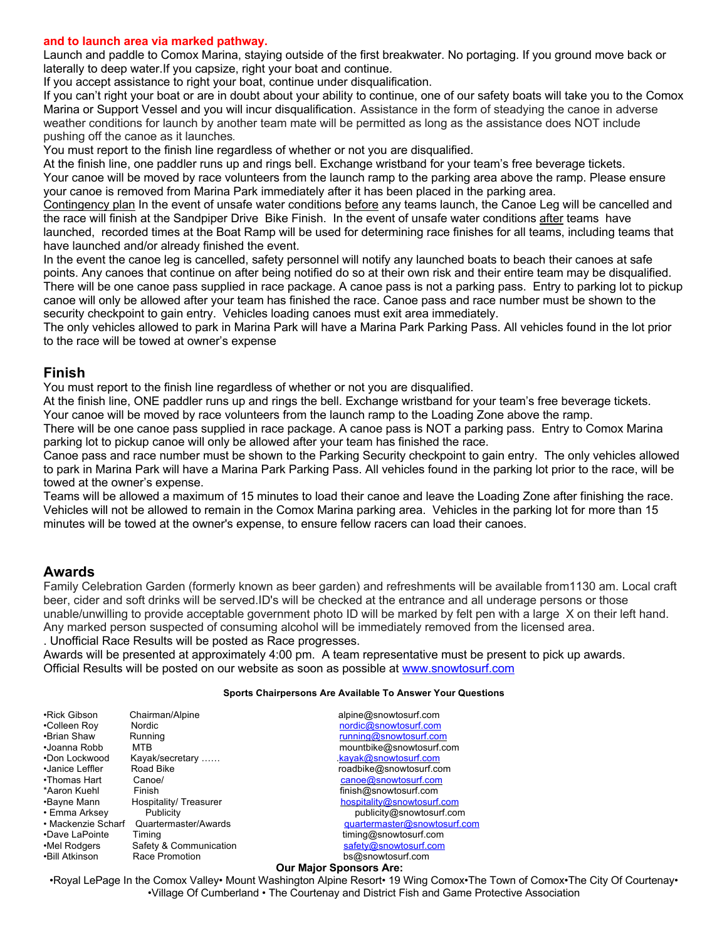#### **and to launch area via marked pathway.**

Launch and paddle to Comox Marina, staying outside of the first breakwater. No portaging. If you ground move back or laterally to deep water.If you capsize, right your boat and continue.

If you accept assistance to right your boat, continue under disqualification.

If you can't right your boat or are in doubt about your ability to continue, one of our safety boats will take you to the Comox Marina or Support Vessel and you will incur disqualification. Assistance in the form of steadying the canoe in adverse weather conditions for launch by another team mate will be permitted as long as the assistance does NOT include pushing off the canoe as it launches**.**

You must report to the finish line regardless of whether or not you are disqualified.

At the finish line, one paddler runs up and rings bell. Exchange wristband for your team's free beverage tickets. Your canoe will be moved by race volunteers from the launch ramp to the parking area above the ramp. Please ensure your canoe is removed from Marina Park immediately after it has been placed in the parking area.

Contingency plan In the event of unsafe water conditions before any teams launch, the Canoe Leg will be cancelled and the race will finish at the Sandpiper Drive Bike Finish. In the event of unsafe water conditions after teams have launched, recorded times at the Boat Ramp will be used for determining race finishes for all teams, including teams that have launched and/or already finished the event.

In the event the canoe leg is cancelled, safety personnel will notify any launched boats to beach their canoes at safe points. Any canoes that continue on after being notified do so at their own risk and their entire team may be disqualified. There will be one canoe pass supplied in race package. A canoe pass is not a parking pass. Entry to parking lot to pickup canoe will only be allowed after your team has finished the race. Canoe pass and race number must be shown to the security checkpoint to gain entry. Vehicles loading canoes must exit area immediately.

The only vehicles allowed to park in Marina Park will have a Marina Park Parking Pass. All vehicles found in the lot prior to the race will be towed at owner's expense

#### **Finish**

You must report to the finish line regardless of whether or not you are disqualified.

At the finish line, ONE paddler runs up and rings the bell. Exchange wristband for your team's free beverage tickets. Your canoe will be moved by race volunteers from the launch ramp to the Loading Zone above the ramp.

There will be one canoe pass supplied in race package. A canoe pass is NOT a parking pass. Entry to Comox Marina parking lot to pickup canoe will only be allowed after your team has finished the race.

Canoe pass and race number must be shown to the Parking Security checkpoint to gain entry. The only vehicles allowed to park in Marina Park will have a Marina Park Parking Pass. All vehicles found in the parking lot prior to the race, will be towed at the owner's expense.

Teams will be allowed a maximum of 15 minutes to load their canoe and leave the Loading Zone after finishing the race. Vehicles will not be allowed to remain in the Comox Marina parking area. Vehicles in the parking lot for more than 15 minutes will be towed at the owner's expense, to ensure fellow racers can load their canoes.

#### **Awards**

Family Celebration Garden (formerly known as beer garden) and refreshments will be available from1130 am. Local craft beer, cider and soft drinks will be served.ID's will be checked at the entrance and all underage persons or those unable/unwilling to provide acceptable government photo ID will be marked by felt pen with a large X on their left hand. Any marked person suspected of consuming alcohol will be immediately removed from the licensed area.

#### . Unofficial Race Results will be posted as Race progresses.

Awards will be presented at approximately 4:00 pm. A team representative must be present to pick up awards. Official Results will be posted on our website as soon as possible at www.snowtosurf.com

#### **Sports Chairpersons Are Available To Answer Your Questions**

| •Rick Gibson       | Chairman/Alpine        | alpine@snowtosurf.com          |
|--------------------|------------------------|--------------------------------|
| •Colleen Roy       | Nordic                 | nordic@snowtosurf.com          |
| •Brian Shaw        | Running                | running@snowtosurf.com         |
| •Joanna Robb       | MTR                    | mountbike@snowtosurf.com       |
| •Don Lockwood      | Kayak/secretary        | kayak@snowtosurf.com           |
| •Janice Leffler    | Road Bike              | roadbike@snowtosurf.com        |
| •Thomas Hart       | Canoe/                 | canoe@snowtosurf.com           |
| *Aaron Kuehl       | Finish                 | finish@snowtosurf.com          |
| •Bayne Mann        | Hospitality/Treasurer  | hospitality@snowtosurf.com     |
| • Emma Arksey      | Publicity              | publicity@snowtosurf.com       |
| • Mackenzie Scharf | Quartermaster/Awards   | quartermaster@snowtosurf.com   |
| •Dave LaPointe     | Timina                 | timing@snowtosurf.com          |
| •Mel Rodgers       | Safety & Communication | safety@snowtosurf.com          |
| •Bill Atkinson     | Race Promotion         | bs@snowtosurf.com              |
|                    |                        | <b>Our Major Sponsors Are:</b> |

•Royal LePage In the Comox Valley• Mount Washington Alpine Resort• 19 Wing Comox•The Town of Comox•The City Of Courtenay• •Village Of Cumberland • The Courtenay and District Fish and Game Protective Association